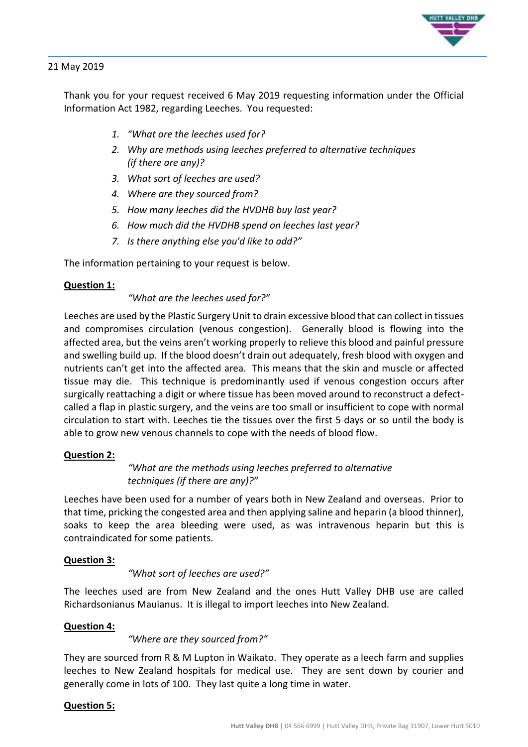

# 21 May 2019

Thank you for your request received 6 May 2019 requesting information under the Official Information Act 1982, regarding Leeches. You requested:

- *1. "What are the leeches used for?*
- *2. Why are methods using leeches preferred to alternative techniques (if there are any)?*
- *3. What sort of leeches are used?*
- *4. Where are they sourced from?*
- *5. How many leeches did the HVDHB buy last year?*
- *6. How much did the HVDHB spend on leeches last year?*
- *7. Is there anything else you'd like to add?"*

The information pertaining to your request is below.

# **Question 1:**

#### *"What are the leeches used for?"*

Leeches are used by the Plastic Surgery Unit to drain excessive blood that can collect in tissues and compromises circulation (venous congestion). Generally blood is flowing into the affected area, but the veins aren't working properly to relieve this blood and painful pressure and swelling build up. If the blood doesn't drain out adequately, fresh blood with oxygen and nutrients can't get into the affected area. This means that the skin and muscle or affected tissue may die. This technique is predominantly used if venous congestion occurs after surgically reattaching a digit or where tissue has been moved around to reconstruct a defectcalled a flap in plastic surgery, and the veins are too small or insufficient to cope with normal circulation to start with. Leeches tie the tissues over the first 5 days or so until the body is able to grow new venous channels to cope with the needs of blood flow.

#### **Question 2:**

# *"What are the methods using leeches preferred to alternative techniques (if there are any)?"*

Leeches have been used for a number of years both in New Zealand and overseas. Prior to that time, pricking the congested area and then applying saline and heparin (a blood thinner), soaks to keep the area bleeding were used, as was intravenous heparin but this is contraindicated for some patients.

# **Question 3:**

# *"What sort of leeches are used?"*

The leeches used are from New Zealand and the ones Hutt Valley DHB use are called Richardsonianus Mauianus. It is illegal to import leeches into New Zealand.

# **Question 4:**

# *"Where are they sourced from?"*

They are sourced from R & M Lupton in Waikato. They operate as a leech farm and supplies leeches to New Zealand hospitals for medical use. They are sent down by courier and generally come in lots of 100. They last quite a long time in water.

# **Question 5:**